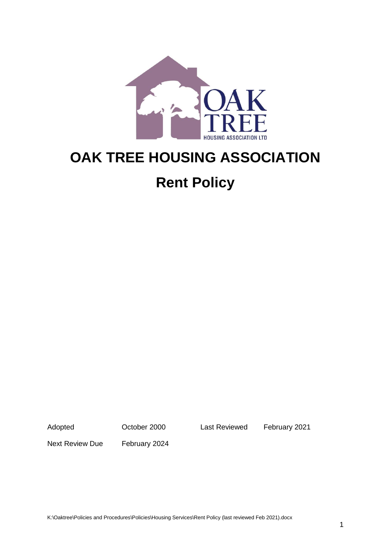

# **OAK TREE HOUSING ASSOCIATION**

# **Rent Policy**

Adopted October 2000 Last Reviewed February 2021

Next Review Due February 2024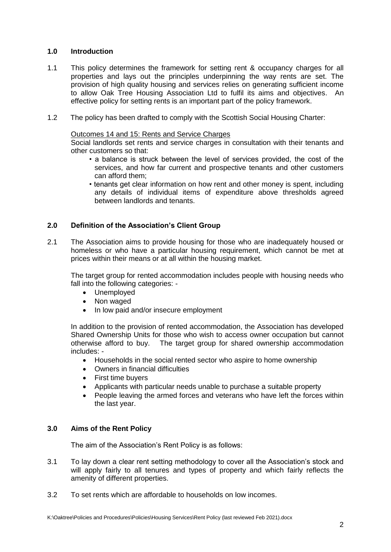# **1.0 Introduction**

- 1.1 This policy determines the framework for setting rent & occupancy charges for all properties and lays out the principles underpinning the way rents are set. The provision of high quality housing and services relies on generating sufficient income to allow Oak Tree Housing Association Ltd to fulfil its aims and objectives. An effective policy for setting rents is an important part of the policy framework.
- 1.2 The policy has been drafted to comply with the Scottish Social Housing Charter:

#### Outcomes 14 and 15: Rents and Service Charges

Social landlords set rents and service charges in consultation with their tenants and other customers so that:

- a balance is struck between the level of services provided, the cost of the services, and how far current and prospective tenants and other customers can afford them;
- tenants get clear information on how rent and other money is spent, including any details of individual items of expenditure above thresholds agreed between landlords and tenants.

# **2.0 Definition of the Association's Client Group**

2.1 The Association aims to provide housing for those who are inadequately housed or homeless or who have a particular housing requirement, which cannot be met at prices within their means or at all within the housing market.

The target group for rented accommodation includes people with housing needs who fall into the following categories: -

- Unemployed
- Non waged
- In low paid and/or insecure employment

In addition to the provision of rented accommodation, the Association has developed Shared Ownership Units for those who wish to access owner occupation but cannot otherwise afford to buy. The target group for shared ownership accommodation includes: -

- Households in the social rented sector who aspire to home ownership
- Owners in financial difficulties
- First time buyers
- Applicants with particular needs unable to purchase a suitable property
- People leaving the armed forces and veterans who have left the forces within the last year.

# **3.0 Aims of the Rent Policy**

The aim of the Association's Rent Policy is as follows:

- 3.1 To lay down a clear rent setting methodology to cover all the Association's stock and will apply fairly to all tenures and types of property and which fairly reflects the amenity of different properties.
- 3.2 To set rents which are affordable to households on low incomes.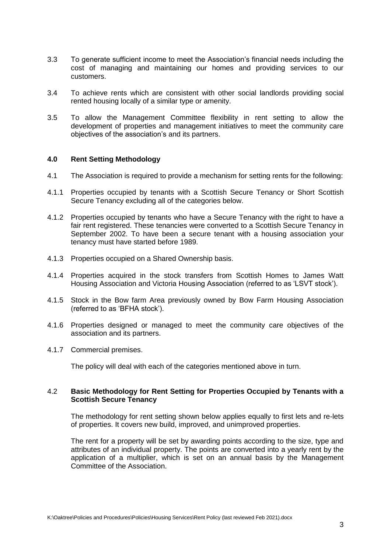- 3.3 To generate sufficient income to meet the Association's financial needs including the cost of managing and maintaining our homes and providing services to our customers.
- 3.4 To achieve rents which are consistent with other social landlords providing social rented housing locally of a similar type or amenity.
- 3.5 To allow the Management Committee flexibility in rent setting to allow the development of properties and management initiatives to meet the community care objectives of the association's and its partners.

#### **4.0 Rent Setting Methodology**

- 4.1 The Association is required to provide a mechanism for setting rents for the following:
- 4.1.1 Properties occupied by tenants with a Scottish Secure Tenancy or Short Scottish Secure Tenancy excluding all of the categories below.
- 4.1.2 Properties occupied by tenants who have a Secure Tenancy with the right to have a fair rent registered. These tenancies were converted to a Scottish Secure Tenancy in September 2002. To have been a secure tenant with a housing association your tenancy must have started before 1989.
- 4.1.3 Properties occupied on a Shared Ownership basis.
- 4.1.4 Properties acquired in the stock transfers from Scottish Homes to James Watt Housing Association and Victoria Housing Association (referred to as 'LSVT stock').
- 4.1.5 Stock in the Bow farm Area previously owned by Bow Farm Housing Association (referred to as 'BFHA stock').
- 4.1.6 Properties designed or managed to meet the community care objectives of the association and its partners.
- 4.1.7 Commercial premises.

The policy will deal with each of the categories mentioned above in turn.

#### 4.2 **Basic Methodology for Rent Setting for Properties Occupied by Tenants with a Scottish Secure Tenancy**

The methodology for rent setting shown below applies equally to first lets and re-lets of properties. It covers new build, improved, and unimproved properties.

The rent for a property will be set by awarding points according to the size, type and attributes of an individual property. The points are converted into a yearly rent by the application of a multiplier, which is set on an annual basis by the Management Committee of the Association.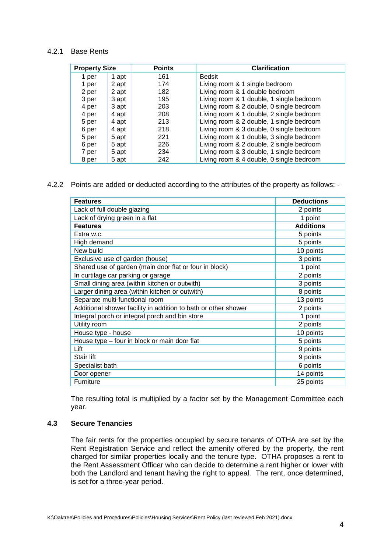#### 4.2.1 Base Rents

| <b>Property Size</b> |       | <b>Points</b> | <b>Clarification</b>                     |
|----------------------|-------|---------------|------------------------------------------|
| 1 per                | 1 apt | 161           | <b>Bedsit</b>                            |
| 1 per                | 2 apt | 174           | Living room & 1 single bedroom           |
| 2 per                | 2 apt | 182           | Living room & 1 double bedroom           |
| 3 per                | 3 apt | 195           | Living room & 1 double, 1 single bedroom |
| 4 per                | 3 apt | 203           | Living room & 2 double, 0 single bedroom |
| 4 per                | 4 apt | 208           | Living room & 1 double, 2 single bedroom |
| 5 per                | 4 apt | 213           | Living room & 2 double, 1 single bedroom |
| 6 per                | 4 apt | 218           | Living room & 3 double, 0 single bedroom |
| 5 per                | 5 apt | 221           | Living room & 1 double, 3 single bedroom |
| 6 per                | 5 apt | 226           | Living room & 2 double, 2 single bedroom |
| 7 per                | 5 apt | 234           | Living room & 3 double, 1 single bedroom |
| 8 per                | 5 apt | 242           | Living room & 4 double, 0 single bedroom |

4.2.2 Points are added or deducted according to the attributes of the property as follows: -

| <b>Features</b>                                                | <b>Deductions</b> |
|----------------------------------------------------------------|-------------------|
| Lack of full double glazing                                    | 2 points          |
| Lack of drying green in a flat                                 | 1 point           |
| <b>Features</b>                                                | <b>Additions</b>  |
| Extra w.c.                                                     | 5 points          |
| High demand                                                    | 5 points          |
| New build                                                      | 10 points         |
| Exclusive use of garden (house)                                | 3 points          |
| Shared use of garden (main door flat or four in block)         | 1 point           |
| In curtilage car parking or garage                             | 2 points          |
| Small dining area (within kitchen or outwith)                  | 3 points          |
| Larger dining area (within kitchen or outwith)                 | 8 points          |
| Separate multi-functional room                                 | 13 points         |
| Additional shower facility in addition to bath or other shower | 2 points          |
| Integral porch or integral porch and bin store                 | 1 point           |
| Utility room                                                   | 2 points          |
| House type - house                                             | 10 points         |
| House type - four in block or main door flat                   | 5 points          |
| Lift                                                           | 9 points          |
| Stair lift                                                     | 9 points          |
| Specialist bath                                                | 6 points          |
| Door opener                                                    | 14 points         |
| Furniture                                                      | 25 points         |

The resulting total is multiplied by a factor set by the Management Committee each year.

#### **4.3 Secure Tenancies**

The fair rents for the properties occupied by secure tenants of OTHA are set by the Rent Registration Service and reflect the amenity offered by the property, the rent charged for similar properties locally and the tenure type. OTHA proposes a rent to the Rent Assessment Officer who can decide to determine a rent higher or lower with both the Landlord and tenant having the right to appeal. The rent, once determined, is set for a three-year period.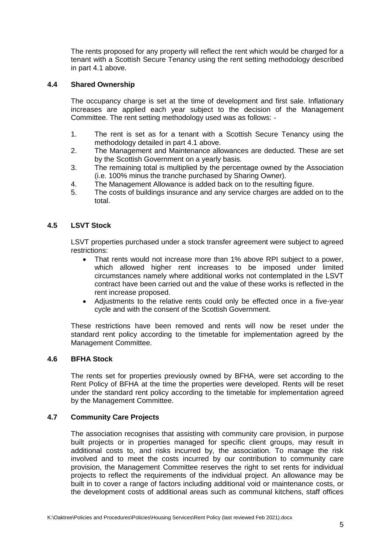The rents proposed for any property will reflect the rent which would be charged for a tenant with a Scottish Secure Tenancy using the rent setting methodology described in part 4.1 above.

# **4.4 Shared Ownership**

The occupancy charge is set at the time of development and first sale. Inflationary increases are applied each year subject to the decision of the Management Committee. The rent setting methodology used was as follows: -

- 1. The rent is set as for a tenant with a Scottish Secure Tenancy using the methodology detailed in part 4.1 above.
- 2. The Management and Maintenance allowances are deducted. These are set by the Scottish Government on a yearly basis.
- 3. The remaining total is multiplied by the percentage owned by the Association (i.e. 100% minus the tranche purchased by Sharing Owner).
- 4. The Management Allowance is added back on to the resulting figure.
- 5. The costs of buildings insurance and any service charges are added on to the total.

#### **4.5 LSVT Stock**

LSVT properties purchased under a stock transfer agreement were subject to agreed restrictions:

- That rents would not increase more than 1% above RPI subject to a power, which allowed higher rent increases to be imposed under limited circumstances namely where additional works not contemplated in the LSVT contract have been carried out and the value of these works is reflected in the rent increase proposed.
- Adjustments to the relative rents could only be effected once in a five-year cycle and with the consent of the Scottish Government.

These restrictions have been removed and rents will now be reset under the standard rent policy according to the timetable for implementation agreed by the Management Committee.

#### **4.6 BFHA Stock**

The rents set for properties previously owned by BFHA, were set according to the Rent Policy of BFHA at the time the properties were developed. Rents will be reset under the standard rent policy according to the timetable for implementation agreed by the Management Committee.

#### **4.7 Community Care Projects**

The association recognises that assisting with community care provision, in purpose built projects or in properties managed for specific client groups, may result in additional costs to, and risks incurred by, the association. To manage the risk involved and to meet the costs incurred by our contribution to community care provision, the Management Committee reserves the right to set rents for individual projects to reflect the requirements of the individual project. An allowance may be built in to cover a range of factors including additional void or maintenance costs, or the development costs of additional areas such as communal kitchens, staff offices